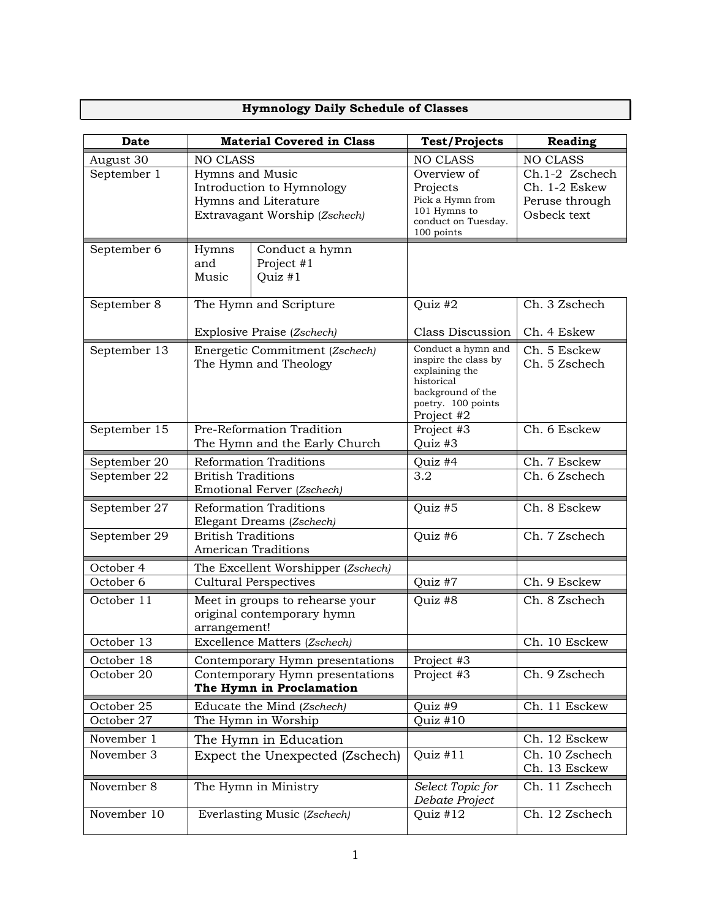## **Hymnology Daily Schedule of Classes**

| <b>Date</b>    | <b>Material Covered in Class</b>                                                                      |                                         | <b>Test/Projects</b>                                                                                                                | <b>Reading</b>                                                   |
|----------------|-------------------------------------------------------------------------------------------------------|-----------------------------------------|-------------------------------------------------------------------------------------------------------------------------------------|------------------------------------------------------------------|
| August 30      | <b>NO CLASS</b>                                                                                       |                                         | <b>NO CLASS</b>                                                                                                                     | NO CLASS                                                         |
| September 1    | Hymns and Music<br>Introduction to Hymnology<br>Hymns and Literature<br>Extravagant Worship (Zschech) |                                         | Overview of<br>Projects<br>Pick a Hymn from<br>101 Hymns to<br>conduct on Tuesday.<br>100 points                                    | Ch.1-2 Zschech<br>Ch. 1-2 Eskew<br>Peruse through<br>Osbeck text |
| September 6    | Hymns<br>and<br>Music                                                                                 | Conduct a hymn<br>Project #1<br>Quiz #1 |                                                                                                                                     |                                                                  |
| September 8    | The Hymn and Scripture                                                                                |                                         | Quiz #2                                                                                                                             | Ch. 3 Zschech                                                    |
|                | Explosive Praise (Zschech)                                                                            |                                         | Class Discussion                                                                                                                    | Ch. 4 Eskew                                                      |
| September 13   | Energetic Commitment (Zschech)<br>The Hymn and Theology                                               |                                         | Conduct a hymn and<br>inspire the class by<br>explaining the<br>historical<br>background of the<br>poetry. 100 points<br>Project #2 | Ch. 5 Esckew<br>Ch. 5 Zschech                                    |
| September 15   | Pre-Reformation Tradition<br>The Hymn and the Early Church                                            |                                         | Project #3<br>Quiz #3                                                                                                               | Ch. 6 Esckew                                                     |
| September 20   | <b>Reformation Traditions</b>                                                                         |                                         | Quiz #4                                                                                                                             | Ch. 7 Esckew                                                     |
| September 22   | <b>British Traditions</b><br>Emotional Ferver (Zschech)                                               |                                         | 3.2                                                                                                                                 | Ch. 6 Zschech                                                    |
| September 27   | <b>Reformation Traditions</b><br>Elegant Dreams (Zschech)                                             |                                         | Quiz #5                                                                                                                             | Ch. 8 Esckew                                                     |
| September $29$ | <b>British Traditions</b><br><b>American Traditions</b>                                               |                                         | Quiz #6                                                                                                                             | Ch. 7 Zschech                                                    |
| October 4      | The Excellent Worshipper (Zschech)                                                                    |                                         |                                                                                                                                     |                                                                  |
| October 6      | <b>Cultural Perspectives</b>                                                                          |                                         | Quiz #7                                                                                                                             | Ch. 9 Esckew                                                     |
| October 11     | Meet in groups to rehearse your<br>original contemporary hymn<br>arrangement!                         |                                         | Quiz #8                                                                                                                             | Ch. 8 Zschech                                                    |
| October 13     | Excellence Matters (Zschech)                                                                          |                                         |                                                                                                                                     | Ch. 10 Esckew                                                    |
| October 18     | Contemporary Hymn presentations                                                                       |                                         | Project #3                                                                                                                          |                                                                  |
| October 20     | Contemporary Hymn presentations<br>The Hymn in Proclamation                                           |                                         | Project #3                                                                                                                          | Ch. 9 Zschech                                                    |
| October 25     | Educate the Mind (Zschech)                                                                            |                                         | Quiz #9                                                                                                                             | Ch. 11 Esckew                                                    |
| October 27     | The Hymn in Worship                                                                                   |                                         | Quiz $#10$                                                                                                                          |                                                                  |
| November 1     | The Hymn in Education                                                                                 |                                         |                                                                                                                                     | Ch. 12 Esckew                                                    |
| November 3     | Expect the Unexpected (Zschech)                                                                       |                                         | Quiz #11                                                                                                                            | Ch. 10 Zschech<br>Ch. 13 Esckew                                  |
| November 8     | The Hymn in Ministry                                                                                  |                                         | Select Topic for<br>Debate Project                                                                                                  | Ch. 11 Zschech                                                   |
| November 10    |                                                                                                       | Everlasting Music (Zschech)             | Quiz #12                                                                                                                            | Ch. 12 Zschech                                                   |